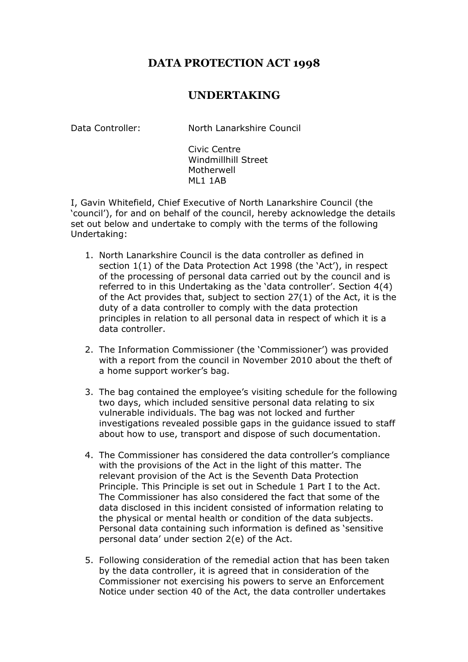## **DATA PROTECTION ACT 1998**

## **UNDERTAKING**

Data Controller: North Lanarkshire Council

Civic Centre Windmillhill Street Motherwell ML1 1AB

I, Gavin Whitefield, Chief Executive of North Lanarkshire Council (the 'council'), for and on behalf of the council, hereby acknowledge the details set out below and undertake to comply with the terms of the following Undertaking:

- 1. North Lanarkshire Council is the data controller as defined in section 1(1) of the Data Protection Act 1998 (the 'Act'), in respect of the processing of personal data carried out by the council and is referred to in this Undertaking as the 'data controller'. Section 4(4) of the Act provides that, subject to section 27(1) of the Act, it is the duty of a data controller to comply with the data protection principles in relation to all personal data in respect of which it is a data controller.
- 2. The Information Commissioner (the 'Commissioner') was provided with a report from the council in November 2010 about the theft of a home support worker's bag.
- 3. The bag contained the employee's visiting schedule for the following two days, which included sensitive personal data relating to six vulnerable individuals. The bag was not locked and further investigations revealed possible gaps in the guidance issued to staff about how to use, transport and dispose of such documentation.
- 4. The Commissioner has considered the data controller's compliance with the provisions of the Act in the light of this matter. The relevant provision of the Act is the Seventh Data Protection Principle. This Principle is set out in Schedule 1 Part I to the Act. The Commissioner has also considered the fact that some of the data disclosed in this incident consisted of information relating to the physical or mental health or condition of the data subjects. Personal data containing such information is defined as 'sensitive personal data' under section 2(e) of the Act.
- 5. Following consideration of the remedial action that has been taken by the data controller, it is agreed that in consideration of the Commissioner not exercising his powers to serve an Enforcement Notice under section 40 of the Act, the data controller undertakes